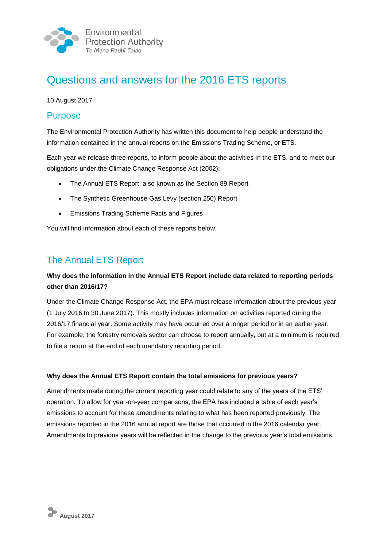

# Questions and answers for the 2016 ETS reports

10 August 2017

## **Purpose**

The Environmental Protection Authority has written this document to help people understand the information contained in the annual reports on the Emissions Trading Scheme, or ETS.

Each year we release three reports, to inform people about the activities in the ETS, and to meet our obligations under the Climate Change Response Act (2002):

- The Annual ETS Report, also known as the Section 89 Report
- The Synthetic Greenhouse Gas Levy (section 250) Report
- Emissions Trading Scheme Facts and Figures

You will find information about each of these reports below.

## The Annual ETS Report

### **Why does the information in the Annual ETS Report include data related to reporting periods other than 2016/17?**

Under the Climate Change Response Act, the EPA must release information about the previous year (1 July 2016 to 30 June 2017). This mostly includes information on activities reported during the 2016/17 financial year. Some activity may have occurred over a longer period or in an earlier year. For example, the forestry removals sector can choose to report annually, but at a minimum is required to file a return at the end of each mandatory reporting period.

### **Why does the Annual ETS Report contain the total emissions for previous years?**

Amendments made during the current reporting year could relate to any of the years of the ETS' operation. To allow for year-on-year comparisons, the EPA has included a table of each year's emissions to account for these amendments relating to what has been reported previously. The emissions reported in the 2016 annual report are those that occurred in the 2016 calendar year. Amendments to previous years will be reflected in the change to the previous year's total emissions.

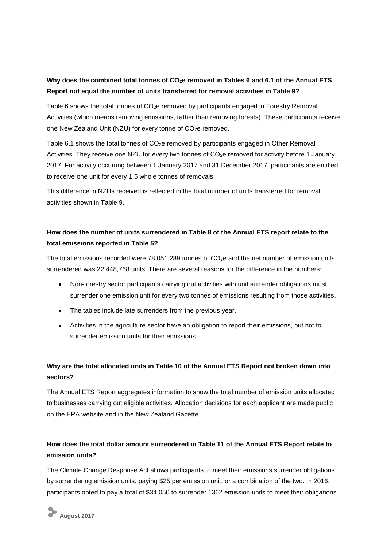### **Why does the combined total tonnes of CO2e removed in Tables 6 and 6.1 of the Annual ETS Report not equal the number of units transferred for removal activities in Table 9?**

Table 6 shows the total tonnes of CO<sub>2</sub>e removed by participants engaged in Forestry Removal Activities (which means removing emissions, rather than removing forests). These participants receive one New Zealand Unit (NZU) for every tonne of CO<sub>2</sub>e removed.

Table 6.1 shows the total tonnes of CO<sub>2</sub>e removed by participants engaged in Other Removal Activities. They receive one NZU for every two tonnes of CO<sub>2</sub>e removed for activity before 1 January 2017. For activity occurring between 1 January 2017 and 31 December 2017, participants are entitled to receive one unit for every 1.5 whole tonnes of removals.

This difference in NZUs received is reflected in the total number of units transferred for removal activities shown in Table 9.

### **How does the number of units surrendered in Table 8 of the Annual ETS report relate to the total emissions reported in Table 5?**

The total emissions recorded were  $78,051,289$  tonnes of  $CO<sub>2</sub>e$  and the net number of emission units surrendered was 22,448,768 units. There are several reasons for the difference in the numbers:

- Non-forestry sector participants carrying out activities with unit surrender obligations must surrender one emission unit for every two tonnes of emissions resulting from those activities.
- The tables include late surrenders from the previous year.
- Activities in the agriculture sector have an obligation to report their emissions, but not to surrender emission units for their emissions.

### **Why are the total allocated units in Table 10 of the Annual ETS Report not broken down into sectors?**

The Annual ETS Report aggregates information to show the total number of emission units allocated to businesses carrying out eligible activities. Allocation decisions for each applicant are made public on the EPA website and in the New Zealand Gazette.

### **How does the total dollar amount surrendered in Table 11 of the Annual ETS Report relate to emission units?**

The Climate Change Response Act allows participants to meet their emissions surrender obligations by surrendering emission units, paying \$25 per emission unit, or a combination of the two. In 2016, participants opted to pay a total of \$34,050 to surrender 1362 emission units to meet their obligations.